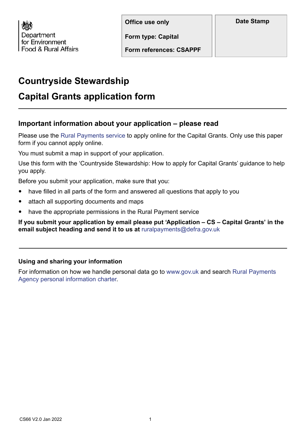Department for Environment Food & Rural Affairs

**Form type: Capital**

**Form references: CSAPPF**

# **Countryside Stewardship**

# **Capital Grants application form**

## **Important information about your application – please read**

Please use the [Rural Payments service](https://www.gov.uk/claim-rural-payments) to apply online for the Capital Grants. Only use this paper form if you cannot apply online.

You must submit a map in support of your application.

Use this form with the 'Countryside Stewardship: How to apply for Capital Grants' guidance to help you apply.

Before you submit your application, make sure that you:

- have filled in all parts of the form and answered all questions that apply to you
- attach all supporting documents and maps
- have the appropriate permissions in the Rural Payment service

**If you submit your application by email please put 'Application – CS – Capital Grants' in the email subject heading and send it to us at** [ruralpayments@defra.gov.uk](mailto:ruralpayments%40defra.gov.uk?subject=Application%20%E2%80%93%20CS%20%E2%80%93%20Capital%20Grants)

#### **Using and sharing your information**

For information on how we handle personal data go to [www.gov.uk](https://www.gov.uk/) and search [Rural Payments](https://www.gov.uk/government/organisations/rural-payments-agency/about/personal-information-charter)  [Agency personal information charter](https://www.gov.uk/government/organisations/rural-payments-agency/about/personal-information-charter).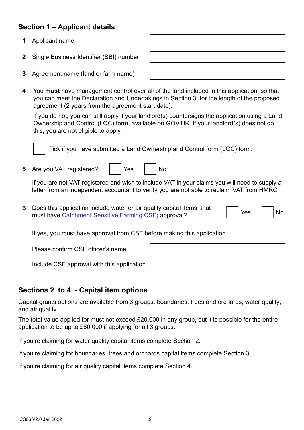## **Section 1 – Applicant details**

- **1** Applicant name
- **2** Single Business Identifier (SBI) number
- **3** Agreement name (land or farm name)
- **4** You **must** have management control over all of the land included in this application, so that you can meet the Declaration and Undertakings in Section 3, for the length of the proposed agreement (2 years from the agreement start date).

If you do not, you can still apply if your landlord(s) countersigns the application using a Land Ownership and Control (LOC) form, available on GOV.UK. If your landlord(s) does not do this, you are not eligible to apply.



Tick if you have submitted a Land Ownership and Control form (LOC) form.

**5** Are you VAT registered? | | Yes | | No

If you are not VAT registered and wish to include VAT in your claims you will need to supply a letter from an independent accountant to verify you are not able to reclaim VAT from HMRC.

**6** Does this application include water or air quality capital items that must have [Catchment Sensitive Farming CSF\)](https://www.gov.uk/government/publications/catchment-sensitive-farming-officer-contacts) approval?

If yes, you must have approval from CSF before making this application.

Please confirm CSF officer's name

Include CSF approval with this application.

### **Sections 2 to 4 - Capital item options**

Capital grants options are available from 3 groups, boundaries, trees and orchards; water quality; and air quality.

The total value applied for must not exceed £20,000 in any group, but it is possible for the entire application to be up to £60,000 if applying for all 3 groups.

If you're claiming for water quality capital items complete Section 2.

If you're claiming for boundaries, trees and orchards capital items complete Section 3.

If you're claiming for air quality capital items complete Section 4.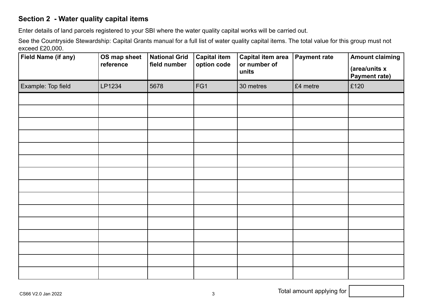## **Section 2 - Water quality capital items**

Enter details of land parcels registered to your SBI where the water quality capital works will be carried out.

See the Countryside Stewardship: Capital Grants manual for a full list of water quality capital items. The total value for this group must not exceed £20,000.

| <b>Field Name (if any)</b> | OS map sheet<br>reference | <b>National Grid</b><br>field number | <b>Capital item</b><br>option code | <b>Capital item area</b><br>or number of<br>units | <b>Payment rate</b> | <b>Amount claiming</b><br>(area/units x<br>Payment rate) |
|----------------------------|---------------------------|--------------------------------------|------------------------------------|---------------------------------------------------|---------------------|----------------------------------------------------------|
| Example: Top field         | LP1234                    | 5678                                 | FG1                                | 30 metres                                         | £4 metre            | £120                                                     |
|                            |                           |                                      |                                    |                                                   |                     |                                                          |
|                            |                           |                                      |                                    |                                                   |                     |                                                          |
|                            |                           |                                      |                                    |                                                   |                     |                                                          |
|                            |                           |                                      |                                    |                                                   |                     |                                                          |
|                            |                           |                                      |                                    |                                                   |                     |                                                          |
|                            |                           |                                      |                                    |                                                   |                     |                                                          |
|                            |                           |                                      |                                    |                                                   |                     |                                                          |
|                            |                           |                                      |                                    |                                                   |                     |                                                          |
|                            |                           |                                      |                                    |                                                   |                     |                                                          |
|                            |                           |                                      |                                    |                                                   |                     |                                                          |
|                            |                           |                                      |                                    |                                                   |                     |                                                          |
|                            |                           |                                      |                                    |                                                   |                     |                                                          |
|                            |                           |                                      |                                    |                                                   |                     |                                                          |
|                            |                           |                                      |                                    |                                                   |                     |                                                          |
|                            |                           |                                      |                                    |                                                   |                     |                                                          |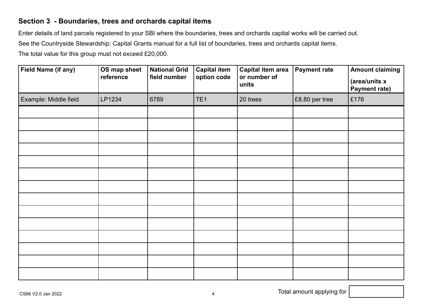### **Section 3 - Boundaries, trees and orchards capital items**

Enter details of land parcels registered to your SBI where the boundaries, trees and orchards capital works will be carried out.

See the Countryside Stewardship: Capital Grants manual for a full list of boundaries, trees and orchards capital items.

The total value for this group must not exceed £20,000.

| Field Name (if any)   | OS map sheet<br>reference | <b>National Grid</b><br>field number | <b>Capital item</b><br>option code | <b>Capital item area</b><br>or number of<br>units | <b>Payment rate</b> | <b>Amount claiming</b><br>(area/units x<br><b>Payment rate)</b> |
|-----------------------|---------------------------|--------------------------------------|------------------------------------|---------------------------------------------------|---------------------|-----------------------------------------------------------------|
| Example: Middle field | LP1234                    | 6789                                 | TE <sub>1</sub>                    | 20 trees                                          | £8.80 per tree      | £176                                                            |
|                       |                           |                                      |                                    |                                                   |                     |                                                                 |
|                       |                           |                                      |                                    |                                                   |                     |                                                                 |
|                       |                           |                                      |                                    |                                                   |                     |                                                                 |
|                       |                           |                                      |                                    |                                                   |                     |                                                                 |
|                       |                           |                                      |                                    |                                                   |                     |                                                                 |
|                       |                           |                                      |                                    |                                                   |                     |                                                                 |
|                       |                           |                                      |                                    |                                                   |                     |                                                                 |
|                       |                           |                                      |                                    |                                                   |                     |                                                                 |
|                       |                           |                                      |                                    |                                                   |                     |                                                                 |
|                       |                           |                                      |                                    |                                                   |                     |                                                                 |
|                       |                           |                                      |                                    |                                                   |                     |                                                                 |
|                       |                           |                                      |                                    |                                                   |                     |                                                                 |
|                       |                           |                                      |                                    |                                                   |                     |                                                                 |
|                       |                           |                                      |                                    |                                                   |                     |                                                                 |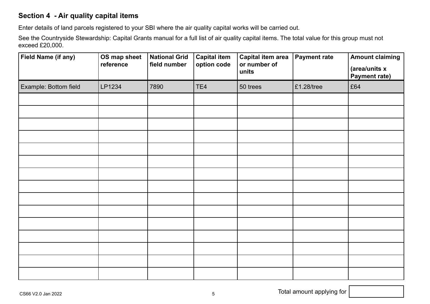## **Section 4 - Air quality capital items**

Enter details of land parcels registered to your SBI where the air quality capital works will be carried out.

See the Countryside Stewardship: Capital Grants manual for a full list of air quality capital items. The total value for this group must not exceed £20,000.

| Field Name (if any)   | OS map sheet<br>reference | <b>National Grid</b><br>field number | <b>Capital item</b><br>option code | <b>Capital item area</b><br>or number of<br>units | <b>Payment rate</b> | <b>Amount claiming</b><br>(area/units x<br>Payment rate) |
|-----------------------|---------------------------|--------------------------------------|------------------------------------|---------------------------------------------------|---------------------|----------------------------------------------------------|
| Example: Bottom field | LP1234                    | 7890                                 | TE4                                | 50 trees                                          | $£1.28$ /tree       | £64                                                      |
|                       |                           |                                      |                                    |                                                   |                     |                                                          |
|                       |                           |                                      |                                    |                                                   |                     |                                                          |
|                       |                           |                                      |                                    |                                                   |                     |                                                          |
|                       |                           |                                      |                                    |                                                   |                     |                                                          |
|                       |                           |                                      |                                    |                                                   |                     |                                                          |
|                       |                           |                                      |                                    |                                                   |                     |                                                          |
|                       |                           |                                      |                                    |                                                   |                     |                                                          |
|                       |                           |                                      |                                    |                                                   |                     |                                                          |
|                       |                           |                                      |                                    |                                                   |                     |                                                          |
|                       |                           |                                      |                                    |                                                   |                     |                                                          |
|                       |                           |                                      |                                    |                                                   |                     |                                                          |
|                       |                           |                                      |                                    |                                                   |                     |                                                          |
|                       |                           |                                      |                                    |                                                   |                     |                                                          |
|                       |                           |                                      |                                    |                                                   |                     |                                                          |
|                       |                           |                                      |                                    |                                                   |                     |                                                          |